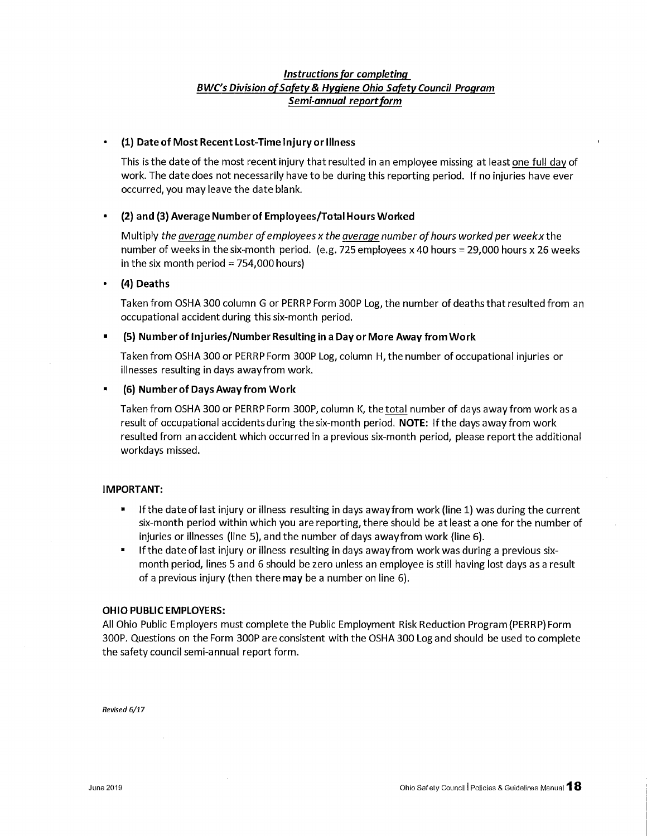## Instructions for completing BWC's Division of Safety & Hygiene Ohio Safety Council Program Semi-annual report form

## (1) Date of Most Recent Lost-Time Injury or Illness

This is the date of the most recent injury that resulted in an employee missing at least one full day of work. The date does not necessarily have to be during this reporting period. If no injuries have ever occurred, you may leave the date blank.

# (2) and (3) Average Number of Employees/Total Hours Worked

Multiply the average number of employees x the average number of hours worked per week x the number of weeks in the six-month period. (e.g. 725 employees x 40 hours = 29,000 hours x 26 weeks in the six month period =  $754,000$  hours)

### (4) Deaths

Taken from OSHA 300 column G or PERRP Form 300P Log, the number of deaths that resulted from an occupational accident during this six-month period.

## (5) Number of Injuries/Number Resulting in a Day or More Away from Work

Taken from OSHA 300 or PERRP Form 300P Log, column H, the number of occupational injuries or illnesses resulting in days away from work.

## (6) Number of Days Away from Work

Taken from OSHA 300 or PERRP Form 300P, column K, the total number of days away from work as a result of occupational accidents during the six-month period. NOTE: If the days away from work resulted from an accident which occurred in a previous six-month period, please report the additional workdays missed.

### **IMPORTANT:**

- $\blacksquare$ If the date of last injury or illness resulting in days away from work (line 1) was during the current six-month period within which you are reporting, there should be at least a one for the number of injuries or illnesses (line 5), and the number of days away from work (line 6).
- If the date of last injury or illness resulting in days away from work was during a previous sixmonth period, lines 5 and 6 should be zero unless an employee is still having lost days as a result of a previous injury (then there may be a number on line 6).

### **OHIO PUBLIC EMPLOYERS:**

All Ohio Public Employers must complete the Public Employment Risk Reduction Program (PERRP) Form 300P. Questions on the Form 300P are consistent with the OSHA 300 Log and should be used to complete the safety council semi-annual report form.

Revised 6/17